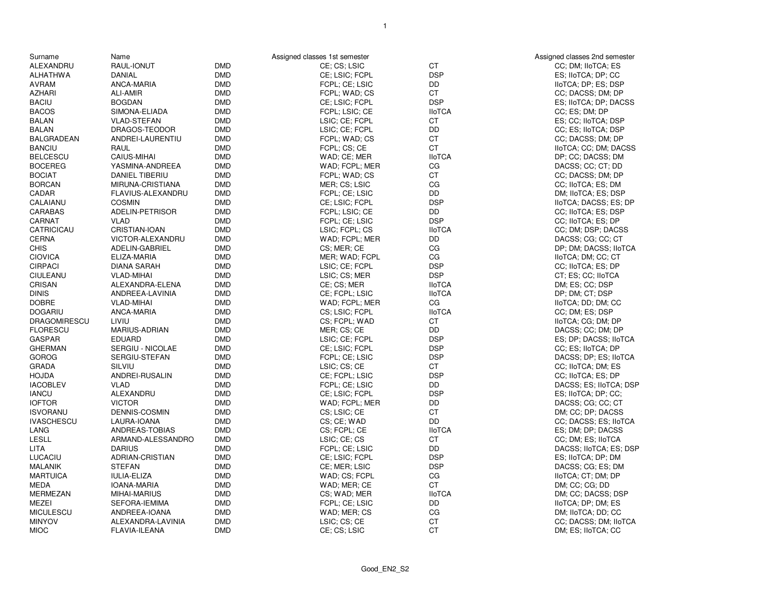| Surname                          | Name                       |            | Assigned classes 1st semester    |               | Assigned classes 2nd semester               |
|----------------------------------|----------------------------|------------|----------------------------------|---------------|---------------------------------------------|
| ALEXANDRU                        | RAUL-IONUT                 | <b>DMD</b> | CE; CS; LSIC                     | <b>CT</b>     | CC; DM; IIoTCA; ES                          |
| <b>ALHATHWA</b>                  | <b>DANIAL</b>              | <b>DMD</b> | CE: LSIC: FCPL                   | <b>DSP</b>    | ES; IIoTCA; DP; CC                          |
| <b>AVRAM</b>                     | ANCA-MARIA                 | <b>DMD</b> | FCPL; CE; LSIC                   | DD            | IIoTCA; DP; ES; DSP                         |
| <b>AZHARI</b>                    | <b>ALI-AMIR</b>            | <b>DMD</b> | FCPL; WAD; CS                    | <b>CT</b>     | CC; DACSS; DM; DP                           |
| <b>BACIU</b>                     | <b>BOGDAN</b>              | <b>DMD</b> | CE; LSIC; FCPL                   | <b>DSP</b>    | ES; IIoTCA; DP; DACSS                       |
| <b>BACOS</b>                     | SIMONA-ELIADA              | <b>DMD</b> | FCPL; LSIC; CE                   | <b>IIoTCA</b> | CC; ES; DM; DP                              |
| <b>BALAN</b>                     | <b>VLAD-STEFAN</b>         | <b>DMD</b> | LSIC; CE; FCPL                   | <b>CT</b>     | ES; CC; IIoTCA; DSP                         |
| <b>BALAN</b>                     | DRAGOS-TEODOR              | <b>DMD</b> | LSIC; CE; FCPL                   | <b>DD</b>     | CC; ES; IIoTCA; DSP                         |
| <b>BALGRADEAN</b>                | ANDREI-LAURENTIU           | <b>DMD</b> | FCPL; WAD; CS                    | <b>CT</b>     | CC; DACSS; DM; DP                           |
| <b>BANCIU</b>                    | RAUL                       | <b>DMD</b> | FCPL; CS; CE                     | <b>CT</b>     | IIoTCA; CC; DM; DACSS                       |
| <b>BELCESCU</b>                  | <b>CAIUS-MIHAI</b>         | <b>DMD</b> | WAD; CE; MER                     | <b>IIoTCA</b> | DP; CC; DACSS; DM                           |
| <b>BOCEREG</b>                   | YASMINA-ANDREEA            | <b>DMD</b> | WAD; FCPL; MER                   | CG            | DACSS; CC; CT; DD                           |
| <b>BOCIAT</b>                    | <b>DANIEL TIBERIU</b>      | <b>DMD</b> | FCPL; WAD; CS                    | <b>CT</b>     | CC; DACSS; DM; DP                           |
| <b>BORCAN</b>                    | MIRUNA-CRISTIANA           | <b>DMD</b> | MER; CS; LSIC                    | CG            | CC; IIoTCA; ES; DM                          |
| CADAR                            | FLAVIUS-ALEXANDRU          | <b>DMD</b> | FCPL: CE: LSIC                   | DD            | DM; IIoTCA; ES; DSP                         |
| CALAIANU                         | <b>COSMIN</b>              | <b>DMD</b> | CE; LSIC; FCPL                   | <b>DSP</b>    | IIoTCA; DACSS; ES; DP                       |
| <b>CARABAS</b>                   | ADELIN-PETRISOR            | <b>DMD</b> | FCPL: LSIC: CE                   | <b>DD</b>     | CC; IIoTCA; ES; DSP                         |
| CARNAT                           | <b>VLAD</b>                | <b>DMD</b> | FCPL; CE; LSIC                   | <b>DSP</b>    | CC; IIoTCA; ES; DP                          |
| CATRICICAU                       | CRISTIAN-IOAN              | <b>DMD</b> | LSIC; FCPL; CS                   | <b>IIoTCA</b> | CC; DM; DSP; DACSS                          |
| <b>CERNA</b>                     | VICTOR-ALEXANDRU           | <b>DMD</b> | WAD; FCPL; MER                   | DD            | DACSS; CG; CC; CT                           |
| <b>CHIS</b>                      | ADELIN-GABRIEL             | <b>DMD</b> | CS: MER: CE                      | CG            | DP; DM; DACSS; IIoTCA                       |
| <b>CIOVICA</b>                   | ELIZA-MARIA                | <b>DMD</b> | MER; WAD; FCPL                   | CG            | IIoTCA; DM; CC; CT                          |
| <b>CIRPACI</b>                   | DIANA SARAH                | <b>DMD</b> | LSIC; CE; FCPL                   | <b>DSP</b>    | CC; IIoTCA; ES; DP                          |
| CIULEANU                         | <b>VLAD-MIHAI</b>          | <b>DMD</b> | LSIC; CS; MER                    | <b>DSP</b>    | CT; ES; CC; IIoTCA                          |
| CRISAN                           | ALEXANDRA-ELENA            | <b>DMD</b> | CE: CS: MER                      | <b>IIoTCA</b> | DM; ES; CC; DSP                             |
| <b>DINIS</b>                     | ANDREEA-LAVINIA            | <b>DMD</b> | CE; FCPL; LSIC                   | <b>IIoTCA</b> | DP; DM; CT; DSP                             |
| <b>DOBRE</b>                     | <b>VLAD-MIHAI</b>          | <b>DMD</b> | WAD; FCPL; MER                   | CG            | IIoTCA: DD; DM; CC                          |
| <b>DOGARIU</b>                   | ANCA-MARIA                 | <b>DMD</b> | CS; LSIC; FCPL                   | <b>IIoTCA</b> | CC; DM; ES; DSP                             |
| <b>DRAGOMIRESCU</b>              | LIVIU                      | <b>DMD</b> | CS; FCPL; WAD                    | <b>CT</b>     | IIoTCA; CG; DM; DP                          |
| <b>FLORESCU</b>                  | MARIUS-ADRIAN              | <b>DMD</b> | MER; CS; CE                      | DD            | DACSS; CC; DM; DP                           |
| <b>GASPAR</b>                    | <b>EDUARD</b>              | <b>DMD</b> | LSIC; CE; FCPL                   | <b>DSP</b>    | ES; DP; DACSS; IIoTCA                       |
| <b>GHERMAN</b>                   | SERGIU - NICOLAE           | <b>DMD</b> | CE: LSIC: FCPL                   | <b>DSP</b>    | CC; ES: IIoTCA; DP                          |
| <b>GOROG</b>                     | SERGIU-STEFAN              | <b>DMD</b> | FCPL; CE; LSIC                   | <b>DSP</b>    |                                             |
| <b>GRADA</b>                     | SILVIU                     | <b>DMD</b> | LSIC; CS; CE                     | <b>CT</b>     | DACSS; DP; ES; IIoTCA<br>CC; IIoTCA; DM; ES |
| <b>HOJDA</b>                     |                            | <b>DMD</b> |                                  | <b>DSP</b>    |                                             |
| <b>IACOBLEV</b>                  | ANDREI-RUSALIN             | <b>DMD</b> | CE; FCPL; LSIC                   | <b>DD</b>     | CC; IIoTCA; ES; DP                          |
| <b>IANCU</b>                     | <b>VLAD</b>                | <b>DMD</b> | FCPL; CE; LSIC                   | <b>DSP</b>    | DACSS; ES; IIoTCA; DSP                      |
|                                  | ALEXANDRU<br><b>VICTOR</b> | <b>DMD</b> | CE; LSIC; FCPL<br>WAD; FCPL; MER | DD            | ES; IIoTCA; DP; CC;                         |
| <b>IOFTOR</b><br><b>ISVORANU</b> |                            | <b>DMD</b> |                                  | <b>CT</b>     | DACSS; CG; CC; CT                           |
|                                  | DENNIS-COSMIN              |            | CS; LSIC; CE                     | <b>DD</b>     | DM; CC; DP; DACSS                           |
| <b>IVASCHESCU</b>                | LAURA-IOANA                | <b>DMD</b> | CS: CE: WAD                      |               | CC: DACSS: ES: IIoTCA                       |
| LANG                             | ANDREAS-TOBIAS             | <b>DMD</b> | CS; FCPL; CE                     | <b>IIoTCA</b> | ES; DM; DP; DACSS                           |
| <b>LESLL</b>                     | ARMAND-ALESSANDRO          | <b>DMD</b> | LSIC: CE: CS                     | CT            | CC; DM; ES; IIoTCA                          |
| <b>LITA</b>                      | <b>DARIUS</b>              | <b>DMD</b> | FCPL; CE; LSIC                   | DD            | DACSS; IIoTCA; ES; DSP                      |
| LUCACIU                          | ADRIAN-CRISTIAN            | <b>DMD</b> | CE; LSIC; FCPL                   | <b>DSP</b>    | ES; IIoTCA; DP; DM                          |
| <b>MALANIK</b>                   | <b>STEFAN</b>              | <b>DMD</b> | CE; MER; LSIC                    | <b>DSP</b>    | DACSS; CG; ES; DM                           |
| <b>MARTUICA</b>                  | <b>IULIA-ELIZA</b>         | <b>DMD</b> | WAD; CS; FCPL                    | CG            | IIoTCA; CT; DM; DP                          |
| <b>MEDA</b>                      | <b>IOANA-MARIA</b>         | <b>DMD</b> | WAD; MER; CE                     | <b>CT</b>     | DM; CC; CG; DD                              |
| MERMEZAN                         | <b>MIHAI-MARIUS</b>        | <b>DMD</b> | CS: WAD: MER                     | <b>IIoTCA</b> | DM; CC; DACSS; DSP                          |
| <b>MEZEI</b>                     | SEFORA-IEMIMA              | <b>DMD</b> | FCPL; CE; LSIC                   | <b>DD</b>     | IIoTCA; DP; DM; ES                          |
| <b>MICULESCU</b>                 | ANDREEA-IOANA              | <b>DMD</b> | WAD; MER; CS                     | CG            | DM; IIoTCA; DD; CC                          |
| <b>MINYOV</b>                    | ALEXANDRA-LAVINIA          | <b>DMD</b> | LSIC; CS; CE                     | <b>CT</b>     | CC; DACSS; DM; IIoTCA                       |
| <b>MIOC</b>                      | FLAVIA-ILEANA              | <b>DMD</b> | CE; CS; LSIC                     | <b>CT</b>     | DM; ES; IIoTCA; CC                          |

1